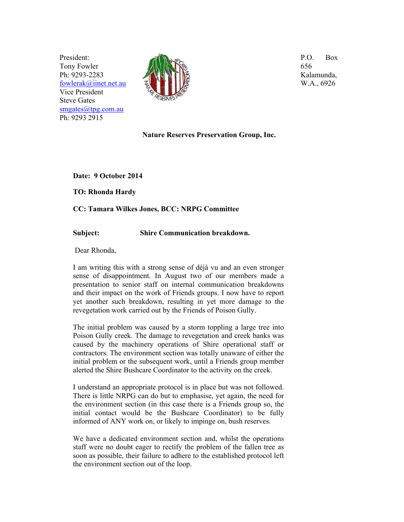President: Tony Fowler Ph: 9293-2283 fowlerak@iinet.net.au Vice President Steve Gates smgates@tpg.com.au Ph: 9293 2915



P.O. Box 656 Kalamunda, W.A., 6926

## **Nature Reserves Preservation Group, Inc.**

**Date: 9 October 2014** 

**TO: Rhonda Hardy** 

**CC: Tamara Wilkes Jones, BCC: NRPG Committee** 

## **Subject: Shire Communication breakdown.**

Dear Rhonda,

I am writing this with a strong sense of déjà vu and an even stronger sense of disappointment. In August two of our members made a presentation to senior staff on internal communication breakdowns and their impact on the work of Friends groups. I now have to report yet another such breakdown, resulting in yet more damage to the revegetation work carried out by the Friends of Poison Gully.

The initial problem was caused by a storm toppling a large tree into Poison Gully creek. The damage to revegetation and creek banks was caused by the machinery operations of Shire operational staff or contractors. The environment section was totally unaware of either the initial problem or the subsequent work, until a Friends group member alerted the Shire Bushcare Coordinator to the activity on the creek.

I understand an appropriate protocol is in place but was not followed. There is little NRPG can do but to emphasise, yet again, the need for the environment section (in this case there is a Friends group so, the initial contact would be the Bushcare Coordinator) to be fully informed of ANY work on, or likely to impinge on, bush reserves.

We have a dedicated environment section and, whilst the operations staff were no doubt eager to rectify the problem of the fallen tree as soon as possible, their failure to adhere to the established protocol left the environment section out of the loop.